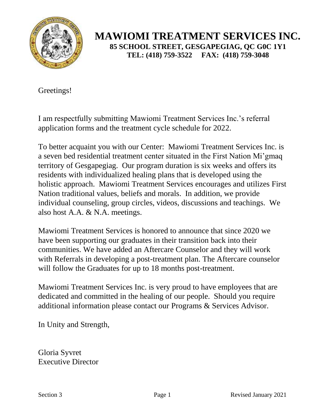

Greetings!

I am respectfully submitting Mawiomi Treatment Services Inc.'s referral application forms and the treatment cycle schedule for 2022.

To better acquaint you with our Center: Mawiomi Treatment Services Inc. is a seven bed residential treatment center situated in the First Nation Mi'gmaq territory of Gesgapegiag. Our program duration is six weeks and offers its residents with individualized healing plans that is developed using the holistic approach. Mawiomi Treatment Services encourages and utilizes First Nation traditional values, beliefs and morals. In addition, we provide individual counseling, group circles, videos, discussions and teachings. We also host A.A. & N.A. meetings.

Mawiomi Treatment Services is honored to announce that since 2020 we have been supporting our graduates in their transition back into their communities. We have added an Aftercare Counselor and they will work with Referrals in developing a post-treatment plan. The Aftercare counselor will follow the Graduates for up to 18 months post-treatment.

Mawiomi Treatment Services Inc. is very proud to have employees that are dedicated and committed in the healing of our people. Should you require additional information please contact our Programs & Services Advisor.

In Unity and Strength,

Gloria Syvret Executive Director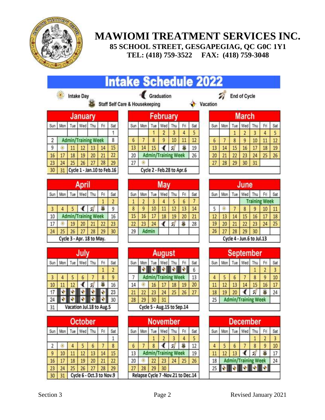

|                |                |     |                   |                            |     |                 | <b>Intake Schedule 2022</b>    |  |                |       |                |                                   |                 |                 |          |     |                |                            |     |                      |                |
|----------------|----------------|-----|-------------------|----------------------------|-----|-----------------|--------------------------------|--|----------------|-------|----------------|-----------------------------------|-----------------|-----------------|----------|-----|----------------|----------------------------|-----|----------------------|----------------|
|                | ※              |     | <b>Intake Day</b> |                            |     |                 | Staff Self Care & Housekeeping |  |                |       | Graduation     |                                   |                 |                 | Vacation |     |                | <b>End of Cycle</b>        |     |                      |                |
|                |                |     | <b>January</b>    |                            |     |                 |                                |  |                |       |                | February                          |                 |                 |          |     |                | <b>March</b>               |     |                      |                |
| Sun            | Mon            | Tue | Wed               | Thu                        | Fri | Sat             | Sun                            |  | Mon            | Tue   | Wed            | Thu                               | Fri             | Sat             | Sun      | Mon | Tue            | Wed                        | Thu | Fri                  | Sat            |
|                |                |     |                   |                            |     | ĭ               |                                |  |                | 1     | 2              | 3                                 | 4               | 5               |          |     | 1              | $\overline{a}$             | 3   | 4                    | 5              |
| $\overline{c}$ |                |     |                   | <b>Admin/Training Week</b> |     | 8               | 6                              |  | 7              | 8     | 9              | 10                                | 11              | 12              | 6        | 7   | 8              | 9                          | 10  | 11                   | 12             |
| 9              | 崖              | 11  | 12                | 13                         | 14  | 15              | 13                             |  | 14             | 15    |                | ź                                 | ä               | 19              | 13       | 14  | 15             | 16                         | 17  | 18                   | 19             |
| 16             | 17             | 18  | 19                | 20                         | 21  | 22              | 20                             |  |                |       |                | <b>Admin/Training Week</b>        |                 | 26              | 20       | 21  | 22             | 23                         | 24  | 25                   | 26             |
| 23             | 24             | 25  | 26                | 27                         | 28  | 29              | 27                             |  |                |       |                |                                   |                 |                 | 27       | 28  | 29             | 30                         | 31  |                      |                |
| 30             | 31             |     |                   | Cycle 1 - Jan.10 to Feb.16 |     |                 |                                |  |                |       |                | Cycle 2 - Feb.28 to Apr.6         |                 |                 |          |     |                |                            |     |                      |                |
|                |                |     |                   |                            |     |                 |                                |  |                |       |                |                                   |                 |                 |          |     |                |                            |     |                      |                |
|                |                |     | April             |                            |     |                 |                                |  |                |       | May            |                                   |                 |                 |          |     |                | June                       |     |                      |                |
| Sun            | Mon            | Tue | Wed               | Thu                        | Fri | Sat             | Sim                            |  | Mon            | Tue   | Wed            | Thu                               | Fri             | Sat             | Sun      | Mon | Tue            | Wed                        | Thu | Fri                  | Sat            |
|                |                |     |                   |                            | 1   | $\overline{2}$  | 1                              |  | $\overline{2}$ | 3     | 4              | 5                                 | 6               | 7               |          |     |                |                            |     | <b>Training Week</b> |                |
| 3              | 4              | 5   |                   |                            | 蓝   | 9               | 8                              |  | 9              | 10    | 11             | 12                                | 13              | 14              | 5        | ë   | $\overline{7}$ | 8                          | 9   | 10                   | 11             |
| 10             |                |     |                   | <b>Admin/Training Week</b> |     | 16              | 15                             |  | 16             | 17    | 18             | 19                                | 20              | $\overline{21}$ | 12       | 13  | 14             | 15                         | 16  | 17                   | 18             |
| 17             |                | 19  | 20                | 21                         | 22  | 23              | 22                             |  | 23             | 24    | ∢              | я                                 | ä               | 28              | 19       | 20  | 21             | 22                         | 23  | 24                   | 25             |
| 24             | 25             | 26  | 27                | 28                         | 29  | 30              | 29                             |  |                | Admin |                |                                   |                 |                 | 26       | 27  | 28             | 29                         | 30  |                      |                |
|                |                |     |                   | Cycle 3 - Apr. 18 to May.  |     |                 |                                |  |                |       |                |                                   |                 |                 |          |     |                | Cycle 4 - Jun.6 to Jul.13  |     |                      |                |
|                |                |     |                   |                            |     |                 |                                |  |                |       |                |                                   |                 |                 |          |     |                |                            |     |                      |                |
|                |                |     | July              |                            |     |                 |                                |  |                |       | August         |                                   |                 |                 |          |     |                | <b>September</b>           |     |                      |                |
| Sun            | Mon            |     | Tue   Wed         | Thu                        | Fri | Sat             | Sun                            |  | Mon            |       |                | Tue   Wed   Thu                   | Fri             | Sat             | Sun      | Mon | Tue            | Wed                        | Thu | Fri                  | Sat            |
|                |                |     |                   |                            | 1   | $\overline{c}$  |                                |  | ٠              |       |                |                                   | ÷               | 6               |          |     |                |                            | 1   | $\overline{c}$       | 3              |
| 3              | 4              | 5   | 6                 | 7                          | 8   | 9               | $\overline{7}$                 |  |                |       |                | <b>Admin/Training Week</b>        |                 | 13              | 4        | 5   | 6              | $\overline{7}$             | 8   | 9                    | 10             |
| 10             | 11             | 12  |                   |                            | ä   | 16              | 14                             |  | ¥,             | 16    | 17             | 18                                | 19              | 20              | 11       | 12  | 13             | 14                         | 15  | 16                   | 17             |
| 17             | ۰              |     |                   |                            |     | 23              | 21                             |  | 22             | 23    | 24             | 25                                | 26              | 27              | 18       | 19  | 20             |                            | 屶   | 显                    | 24             |
| 24             |                |     |                   |                            |     | 30              | 28                             |  | 29             | 30    | 31             |                                   |                 |                 | 25       |     |                | <b>Admin/Training Week</b> |     |                      |                |
| 31             |                |     |                   | Vacation Jul.18 to Aug.5   |     |                 |                                |  |                |       |                | Cycle 5 - Aug.15 to Sep.14        |                 |                 |          |     |                |                            |     |                      |                |
|                |                |     |                   |                            |     |                 |                                |  |                |       |                |                                   |                 |                 |          |     |                |                            |     |                      |                |
|                | <b>October</b> |     |                   |                            |     | <b>November</b> |                                |  |                |       |                |                                   | <b>December</b> |                 |          |     |                |                            |     |                      |                |
| Sun            | Mon            |     | Tue   Wed         | Thu                        | Fri | Sat             | Sun                            |  | Mon            | Tue   | Wed            | Thu                               | Fri             | Sat             | Sun      | Mon | Tue            | Wed                        | Thu | Fri                  | Sat            |
|                |                |     |                   |                            |     | $\,1$           |                                |  |                | 1     | $\overline{c}$ | 3                                 | 4               | 5               |          |     |                |                            | 1   | $\overline{2}$       | $\overline{3}$ |
| 2              |                | 4   | 5                 | 6                          | 7   | 8               | 6                              |  | 7              | 8     |                |                                   | 怠               | 12              | 4        | 5   | 6              | 7                          | 8   | 9                    | 10             |
| 9              | 10             | 11  | 12                | 13                         | 14  | 15              | 13                             |  |                |       |                | <b>Admin/Training Week</b>        |                 | 19              | 11       | 12  | 13             |                            |     | 盆                    | 17             |
| 16             | 17             | 18  | 19                | 20                         | 21  | 22              | 20                             |  |                | 22    | 23             | 24                                | 25              | 26              | 18       |     |                | <b>Admin/Training Week</b> |     |                      | 24             |
| 23             | 24             | 25  | 26                | 27                         | 28  | 29              | 27                             |  | 28             | 29    | 30             |                                   |                 |                 | 25       | ۰   | ٠              | ۰                          |     | ۰                    |                |
| 30             | 21             |     |                   | Cycle 6 - Oct.3 to Nov.9   |     |                 |                                |  |                |       |                | Relapse Cycle 7 -Nov.21 to Dec.14 |                 |                 |          |     |                |                            |     |                      |                |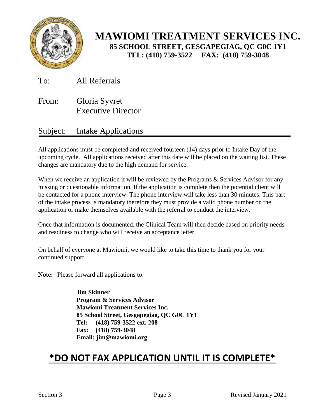

To: All Referrals

From: Gloria Syvret Executive Director

#### Subject: Intake Applications

All applications must be completed and received fourteen (14) days prior to Intake Day of the upcoming cycle. All applications received after this date will be placed on the waiting list. These changes are mandatory due to the high demand for service.

When we receive an application it will be reviewed by the Programs & Services Advisor for any missing or questionable information. If the application is complete then the potential client will be contacted for a phone interview. The phone interview will take less than 30 minutes. This part of the intake process is mandatory therefore they must provide a valid phone number on the application or make themselves available with the referral to conduct the interview.

Once that information is documented, the Clinical Team will then decide based on priority needs and readiness to change who will receive an acceptance letter.

On behalf of everyone at Mawiomi, we would like to take this time to thank you for your continued support.

**Note:** Please forward all applications to:

**Jim Skinner Program & Services Advisor Mawiomi Treatment Services Inc. 85 School Street, Gesgapegiag, QC G0C 1Y1 Tel: (418) 759-3522 ext. 208 Fax: (418) 759-3048 Email: jim@mawiomi.org**

# **\*DO NOT FAX APPLICATION UNTIL IT IS COMPLETE\***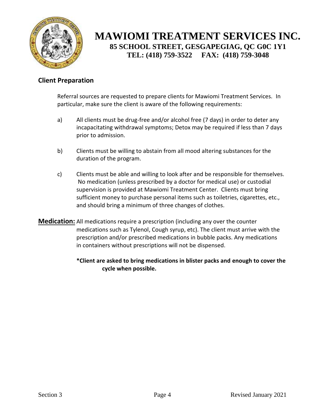

#### **Client Preparation**

Referral sources are requested to prepare clients for Mawiomi Treatment Services. In particular, make sure the client is aware of the following requirements:

- a) All clients must be drug-free and/or alcohol free (7 days) in order to deter any incapacitating withdrawal symptoms; Detox may be required if less than 7 days prior to admission.
- b) Clients must be willing to abstain from all mood altering substances for the duration of the program.
- c) Clients must be able and willing to look after and be responsible for themselves. No medication (unless prescribed by a doctor for medical use) or custodial supervision is provided at Mawiomi Treatment Center. Clients must bring sufficient money to purchase personal items such as toiletries, cigarettes, etc., and should bring a minimum of three changes of clothes.
- **Medication:** All medications require a prescription (including any over the counter medications such as Tylenol, Cough syrup, etc). The client must arrive with the prescription and/or prescribed medications in bubble packs. Any medications in containers without prescriptions will not be dispensed.
	- **\*Client are asked to bring medications in blister packs and enough to cover the cycle when possible.**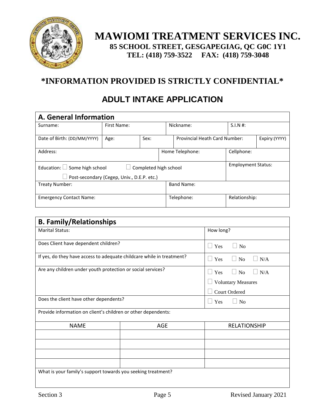

## **\*INFORMATION PROVIDED IS STRICTLY CONFIDENTIAL\***

## **ADULT INTAKE APPLICATION**

| A. General Information                                      |             |      |                               |                   |                           |                |  |  |  |
|-------------------------------------------------------------|-------------|------|-------------------------------|-------------------|---------------------------|----------------|--|--|--|
| Surname:                                                    | First Name: |      |                               | Nickname:         | S.I.N #:                  |                |  |  |  |
| Date of Birth: (DD/MM/YYYY)                                 | Age:        | Sex: | Provincial Heath Card Number: |                   |                           | Expiry: (YYYY) |  |  |  |
| Address:                                                    |             |      |                               | Home Telephone:   | Cellphone:                |                |  |  |  |
| Education: $\Box$ Some high school<br>Completed high school |             |      |                               |                   | <b>Employment Status:</b> |                |  |  |  |
| Post-secondary (Cegep, Univ., D.E.P. etc.)                  |             |      |                               |                   |                           |                |  |  |  |
| Treaty Number:                                              |             |      |                               | <b>Band Name:</b> |                           |                |  |  |  |
| <b>Emergency Contact Name:</b>                              |             |      |                               | Telephone:        | Relationship:             |                |  |  |  |

| <b>B. Family/Relationships</b>                                        |                                            |                                                               |  |  |  |
|-----------------------------------------------------------------------|--------------------------------------------|---------------------------------------------------------------|--|--|--|
| <b>Marital Status:</b>                                                |                                            | How long?                                                     |  |  |  |
| Does Client have dependent children?                                  |                                            | $\Box$ Yes<br>$\Box$ No                                       |  |  |  |
| If yes, do they have access to adequate childcare while in treatment? | $\Box$ N/A<br>$\Box$ Yes<br>N <sub>o</sub> |                                                               |  |  |  |
| Are any children under youth protection or social services?           |                                            | N <sub>o</sub><br>$\Box$ N/A<br>Yes<br>$\Box$<br>$\mathbf{L}$ |  |  |  |
|                                                                       | <b>Voluntary Measures</b>                  |                                                               |  |  |  |
|                                                                       |                                            | <b>Court Ordered</b>                                          |  |  |  |
| Does the client have other dependents?                                |                                            | $\Box$ No<br>$\Box$ Yes                                       |  |  |  |
| Provide information on client's children or other dependents:         |                                            |                                                               |  |  |  |
| <b>NAME</b>                                                           | <b>AGE</b>                                 | <b>RELATIONSHIP</b>                                           |  |  |  |
|                                                                       |                                            |                                                               |  |  |  |
|                                                                       |                                            |                                                               |  |  |  |
|                                                                       |                                            |                                                               |  |  |  |
|                                                                       |                                            |                                                               |  |  |  |
| What is your family's support towards you seeking treatment?          |                                            |                                                               |  |  |  |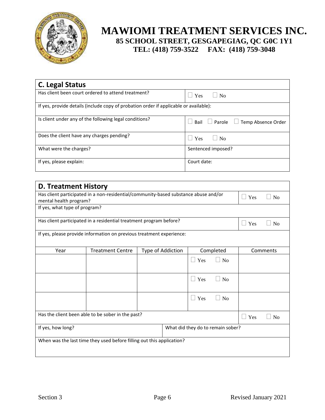

| C. Legal Status                                                                       |                                                 |  |  |  |  |  |  |
|---------------------------------------------------------------------------------------|-------------------------------------------------|--|--|--|--|--|--|
| Has client been court ordered to attend treatment?                                    | Yes<br>$\Box$ No                                |  |  |  |  |  |  |
| If yes, provide details (include copy of probation order if applicable or available): |                                                 |  |  |  |  |  |  |
| Is client under any of the following legal conditions?                                | $\Box$ Parole $\Box$ Temp Absence Order<br>Bail |  |  |  |  |  |  |
| Does the client have any charges pending?                                             | Yes<br>$\Box$ No                                |  |  |  |  |  |  |
| What were the charges?                                                                | Sentenced imposed?                              |  |  |  |  |  |  |
| If yes, please explain:                                                               | Court date:                                     |  |  |  |  |  |  |

| <b>D. Treatment History</b>   |                                                                                     |  |                                            |                                            |  |  |  |  |  |
|-------------------------------|-------------------------------------------------------------------------------------|--|--------------------------------------------|--------------------------------------------|--|--|--|--|--|
| mental health program?        | Has client participated in a non-residential/community-based substance abuse and/or |  |                                            | Yes<br>$\Box$ No                           |  |  |  |  |  |
| If yes, what type of program? |                                                                                     |  |                                            |                                            |  |  |  |  |  |
|                               | Has client participated in a residential treatment program before?                  |  |                                            | Yes<br><b>No</b><br>$\Box$<br>$\mathbf{I}$ |  |  |  |  |  |
|                               | If yes, please provide information on previous treatment experience:                |  |                                            |                                            |  |  |  |  |  |
| Year                          | <b>Treatment Centre</b><br>Type of Addiction                                        |  | Completed                                  | Comments                                   |  |  |  |  |  |
|                               |                                                                                     |  | $\Box$ No<br>$\Box$ Yes                    |                                            |  |  |  |  |  |
|                               |                                                                                     |  | Yes<br>N <sub>o</sub><br>$\vert \ \ \vert$ |                                            |  |  |  |  |  |
|                               |                                                                                     |  | Yes<br>N <sub>o</sub><br>$\Box$            |                                            |  |  |  |  |  |
|                               | Has the client been able to be sober in the past?                                   |  |                                            | $\Box$ No<br>Yes                           |  |  |  |  |  |
| If yes, how long?             |                                                                                     |  | What did they do to remain sober?          |                                            |  |  |  |  |  |
|                               | When was the last time they used before filling out this application?               |  |                                            |                                            |  |  |  |  |  |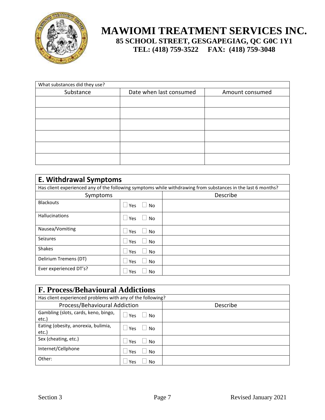

| What substances did they use? |                         |                 |  |  |  |  |  |
|-------------------------------|-------------------------|-----------------|--|--|--|--|--|
| Substance                     | Date when last consumed | Amount consumed |  |  |  |  |  |
|                               |                         |                 |  |  |  |  |  |
|                               |                         |                 |  |  |  |  |  |
|                               |                         |                 |  |  |  |  |  |
|                               |                         |                 |  |  |  |  |  |
|                               |                         |                 |  |  |  |  |  |
|                               |                         |                 |  |  |  |  |  |
|                               |                         |                 |  |  |  |  |  |

| <b>E. Withdrawal Symptoms</b> |                                                                                                              |          |  |  |  |  |  |
|-------------------------------|--------------------------------------------------------------------------------------------------------------|----------|--|--|--|--|--|
|                               | Has client experienced any of the following symptoms while withdrawing from substances in the last 6 months? |          |  |  |  |  |  |
| Symptoms                      |                                                                                                              | Describe |  |  |  |  |  |
| <b>Blackouts</b>              | L.<br>Yes<br>No                                                                                              |          |  |  |  |  |  |
| Hallucinations                | L.<br>Yes<br>No                                                                                              |          |  |  |  |  |  |
| Nausea/Vomiting               | Yes<br>No.                                                                                                   |          |  |  |  |  |  |
| <b>Seizures</b>               | Yes<br>No                                                                                                    |          |  |  |  |  |  |
| <b>Shakes</b>                 | Yes<br><b>No</b>                                                                                             |          |  |  |  |  |  |
| Delirium Tremens (DT)         | Yes<br>No.                                                                                                   |          |  |  |  |  |  |
| Ever experienced DT's?        | Yes<br>No                                                                                                    |          |  |  |  |  |  |

| <b>F. Process/Behavioural Addictions</b>                   |           |          |  |  |  |  |
|------------------------------------------------------------|-----------|----------|--|--|--|--|
| Has client experienced problems with any of the following? |           |          |  |  |  |  |
| Process/Behavioural Addiction                              |           | Describe |  |  |  |  |
| Gambling (slots, cards, keno, bingo,<br>etc.)              | Yes<br>No |          |  |  |  |  |
| Eating (obesity, anorexia, bulimia,<br>etc.)               | Yes<br>No |          |  |  |  |  |
| Sex (cheating, etc.)                                       | Yes<br>No |          |  |  |  |  |
| Internet/Cellphone                                         | Yes<br>No |          |  |  |  |  |
| Other:                                                     | Yes<br>No |          |  |  |  |  |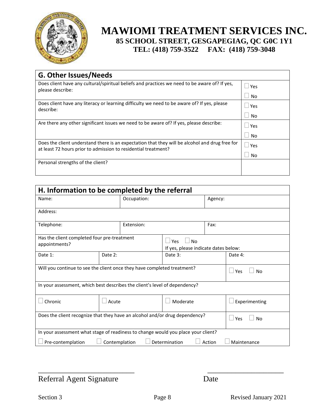

| <b>G. Other Issues/Needs</b>                                                                                                                                     |                                 |
|------------------------------------------------------------------------------------------------------------------------------------------------------------------|---------------------------------|
| Does client have any cultural/spiritual beliefs and practices we need to be aware of? If yes,<br>please describe:                                                | Yes<br>$\mathcal{L}$            |
|                                                                                                                                                                  | <b>No</b>                       |
| Does client have any literacy or learning difficulty we need to be aware of? If yes, please<br>describe:                                                         | Yes<br>$\overline{\phantom{a}}$ |
|                                                                                                                                                                  | No                              |
| Are there any other significant issues we need to be aware of? If yes, please describe:                                                                          | $\mathbf{L}$<br><b>Yes</b>      |
|                                                                                                                                                                  | No<br>ш                         |
| Does the client understand there is an expectation that they will be alcohol and drug free for<br>at least 72 hours prior to admission to residential treatment? | Yes<br>$\overline{\phantom{a}}$ |
|                                                                                                                                                                  | N <sub>o</sub>                  |
| Personal strengths of the client?                                                                                                                                |                                 |
|                                                                                                                                                                  |                                 |

| H. Information to be completed by the referral                                    |           |               |                                                          |         |               |  |  |  |  |
|-----------------------------------------------------------------------------------|-----------|---------------|----------------------------------------------------------|---------|---------------|--|--|--|--|
| Name:                                                                             |           | Occupation:   |                                                          | Agency: |               |  |  |  |  |
| Address:                                                                          |           |               |                                                          |         |               |  |  |  |  |
| Telephone:                                                                        |           | Extension:    |                                                          | Fax:    |               |  |  |  |  |
| Has the client completed four pre-treatment<br>appointments?                      |           |               | <b>No</b><br>Yes<br>If yes, please indicate dates below: |         |               |  |  |  |  |
| Date 1:                                                                           | Date 2:   | Date 3:       |                                                          |         | Date 4:       |  |  |  |  |
| Will you continue to see the client once they have completed treatment?           |           | Yes<br>No     |                                                          |         |               |  |  |  |  |
| In your assessment, which best describes the client's level of dependency?        |           |               |                                                          |         |               |  |  |  |  |
| Chronic<br>Acute                                                                  |           |               | Moderate                                                 |         | Experimenting |  |  |  |  |
| Does the client recognize that they have an alcohol and/or drug dependency?       | Yes<br>No |               |                                                          |         |               |  |  |  |  |
| In your assessment what stage of readiness to change would you place your client? |           |               |                                                          |         |               |  |  |  |  |
| Pre-contemplation                                                                 |           | Contemplation | Determination                                            | Action  | Maintenance   |  |  |  |  |

Referral Agent Signature Date

\_\_\_\_\_\_\_\_\_\_\_\_\_\_\_\_\_\_\_\_\_\_\_\_ \_\_\_\_\_\_\_\_\_\_\_\_\_\_\_\_\_\_\_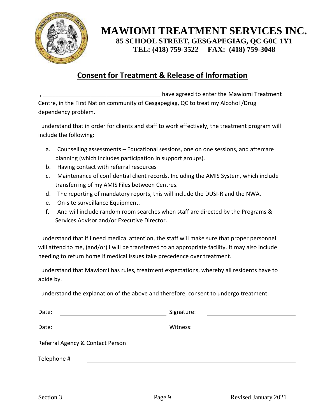

#### **Consent for Treatment & Release of Information**

I, **I**, **I** and the Maximum of the Maximum of the Maximum of the Maximum Treatment Centre, in the First Nation community of Gesgapegiag, QC to treat my Alcohol /Drug dependency problem.

I understand that in order for clients and staff to work effectively, the treatment program will include the following:

- a. Counselling assessments Educational sessions, one on one sessions, and aftercare planning (which includes participation in support groups).
- b. Having contact with referral resources
- c. Maintenance of confidential client records. Including the AMIS System, which include transferring of my AMIS Files between Centres.
- d. The reporting of mandatory reports, this will include the DUSI-R and the NWA.
- e. On-site surveillance Equipment.
- f. And will include random room searches when staff are directed by the Programs & Services Advisor and/or Executive Director.

I understand that if I need medical attention, the staff will make sure that proper personnel will attend to me, (and/or) I will be transferred to an appropriate facility. It may also include needing to return home if medical issues take precedence over treatment.

I understand that Mawiomi has rules, treatment expectations, whereby all residents have to abide by.

I understand the explanation of the above and therefore, consent to undergo treatment.

| Date:                            | Signature: |
|----------------------------------|------------|
| Date:                            | Witness:   |
| Referral Agency & Contact Person |            |
| Telephone #                      |            |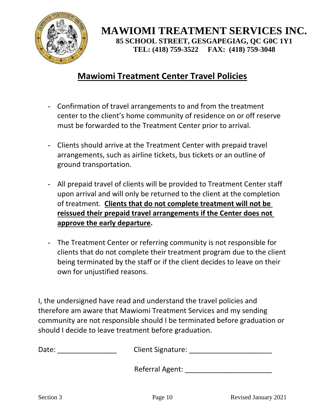

## **Mawiomi Treatment Center Travel Policies**

- Confirmation of travel arrangements to and from the treatment center to the client's home community of residence on or off reserve must be forwarded to the Treatment Center prior to arrival.
- Clients should arrive at the Treatment Center with prepaid travel arrangements, such as airline tickets, bus tickets or an outline of ground transportation.
- All prepaid travel of clients will be provided to Treatment Center staff upon arrival and will only be returned to the client at the completion of treatment. **Clients that do not complete treatment will not be reissued their prepaid travel arrangements if the Center does not approve the early departure.**
- The Treatment Center or referring community is not responsible for clients that do not complete their treatment program due to the client being terminated by the staff or if the client decides to leave on their own for unjustified reasons.

I, the undersigned have read and understand the travel policies and therefore am aware that Mawiomi Treatment Services and my sending community are not responsible should I be terminated before graduation or should I decide to leave treatment before graduation.

| Date: | Client Signature: |  |
|-------|-------------------|--|
|       |                   |  |

Referral Agent: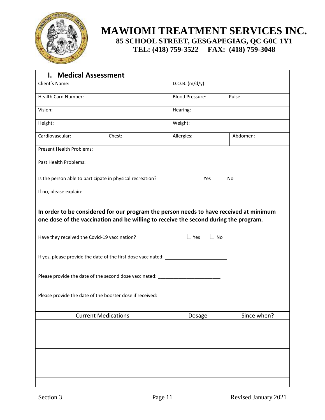

| <b>Medical Assessment</b><br>I.                                                                                                                                                                                                                           |        |                        |             |  |
|-----------------------------------------------------------------------------------------------------------------------------------------------------------------------------------------------------------------------------------------------------------|--------|------------------------|-------------|--|
| Client's Name:                                                                                                                                                                                                                                            |        | $D.O.B.$ (m/d/y):      |             |  |
| Health Card Number:                                                                                                                                                                                                                                       |        | <b>Blood Pressure:</b> | Pulse:      |  |
| Vision:                                                                                                                                                                                                                                                   |        | Hearing:               |             |  |
| Height:                                                                                                                                                                                                                                                   |        | Weight:                |             |  |
| Cardiovascular:                                                                                                                                                                                                                                           | Chest: | Allergies:             | Abdomen:    |  |
| Present Health Problems:                                                                                                                                                                                                                                  |        |                        |             |  |
| Past Health Problems:                                                                                                                                                                                                                                     |        |                        |             |  |
| Is the person able to participate in physical recreation?                                                                                                                                                                                                 |        | $\Box$ Yes<br>$\Box$   | No          |  |
| If no, please explain:                                                                                                                                                                                                                                    |        |                        |             |  |
| In order to be considered for our program the person needs to have received at minimum<br>one dose of the vaccination and be willing to receive the second during the program.<br>$\Box$ Yes<br>$\Box$ No<br>Have they received the Covid-19 vaccination? |        |                        |             |  |
| If yes, please provide the date of the first dose vaccinated: __________________                                                                                                                                                                          |        |                        |             |  |
| Please provide the date of the second dose vaccinated: _________________________                                                                                                                                                                          |        |                        |             |  |
| Please provide the date of the booster dose if received: _______________________                                                                                                                                                                          |        |                        |             |  |
| <b>Current Medications</b>                                                                                                                                                                                                                                |        | Dosage                 | Since when? |  |
|                                                                                                                                                                                                                                                           |        |                        |             |  |
|                                                                                                                                                                                                                                                           |        |                        |             |  |
|                                                                                                                                                                                                                                                           |        |                        |             |  |
|                                                                                                                                                                                                                                                           |        |                        |             |  |
|                                                                                                                                                                                                                                                           |        |                        |             |  |
|                                                                                                                                                                                                                                                           |        |                        |             |  |